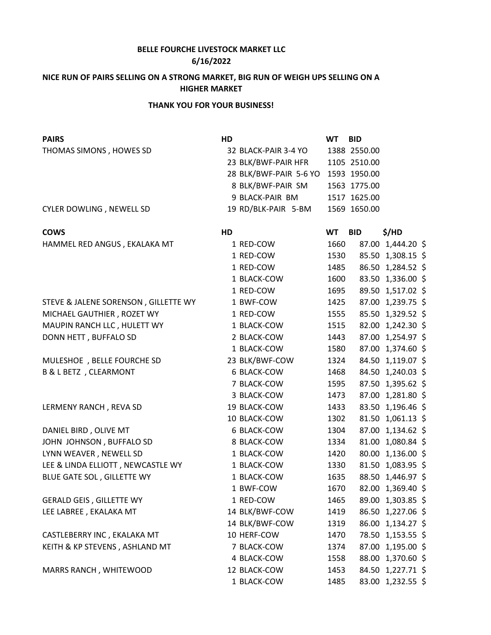## **BELLE FOURCHE LIVESTOCK MARKET LLC**

## **6/16/2022**

## **NICE RUN OF PAIRS SELLING ON A STRONG MARKET, BIG RUN OF WEIGH UPS SELLING ON A HIGHER MARKET**

## **THANK YOU FOR YOUR BUSINESS!**

| <b>PAIRS</b>                         | HD                     | <b>WT</b> | <b>BID</b>   |                   |
|--------------------------------------|------------------------|-----------|--------------|-------------------|
| THOMAS SIMONS, HOWES SD              | 32 BLACK-PAIR 3-4 YO   |           | 1388 2550.00 |                   |
|                                      | 23 BLK/BWF-PAIR HFR    |           | 1105 2510.00 |                   |
|                                      | 28 BLK/BWF-PAIR 5-6 YO |           | 1593 1950.00 |                   |
|                                      | 8 BLK/BWF-PAIR SM      |           | 1563 1775.00 |                   |
|                                      | 9 BLACK-PAIR BM        |           | 1517 1625.00 |                   |
| CYLER DOWLING, NEWELL SD             | 19 RD/BLK-PAIR 5-BM    |           | 1569 1650.00 |                   |
| <b>COWS</b>                          | HD                     | <b>WT</b> | <b>BID</b>   | \$/HD             |
| HAMMEL RED ANGUS, EKALAKA MT         | 1 RED-COW              | 1660      |              | 87.00 1,444.20 \$ |
|                                      | 1 RED-COW              | 1530      |              | 85.50 1,308.15 \$ |
|                                      | 1 RED-COW              | 1485      |              | 86.50 1,284.52 \$ |
|                                      | 1 BLACK-COW            | 1600      |              | 83.50 1,336.00 \$ |
|                                      | 1 RED-COW              | 1695      |              | 89.50 1,517.02 \$ |
| STEVE & JALENE SORENSON, GILLETTE WY | 1 BWF-COW              | 1425      |              | 87.00 1,239.75 \$ |
| MICHAEL GAUTHIER, ROZET WY           | 1 RED-COW              | 1555      |              | 85.50 1,329.52 \$ |
| MAUPIN RANCH LLC, HULETT WY          | 1 BLACK-COW            | 1515      |              | 82.00 1,242.30 \$ |
| DONN HETT, BUFFALO SD                | 2 BLACK-COW            | 1443      |              | 87.00 1,254.97 \$ |
|                                      | 1 BLACK-COW            | 1580      |              | 87.00 1,374.60 \$ |
| MULESHOE, BELLE FOURCHE SD           | 23 BLK/BWF-COW         | 1324      |              | 84.50 1,119.07 \$ |
| <b>B &amp; L BETZ</b> , CLEARMONT    | 6 BLACK-COW            | 1468      |              | 84.50 1,240.03 \$ |
|                                      | 7 BLACK-COW            | 1595      |              | 87.50 1,395.62 \$ |
|                                      | 3 BLACK-COW            | 1473      |              | 87.00 1,281.80 \$ |
| LERMENY RANCH, REVA SD               | 19 BLACK-COW           | 1433      |              | 83.50 1,196.46 \$ |
|                                      | 10 BLACK-COW           | 1302      |              | 81.50 1,061.13 \$ |
| DANIEL BIRD, OLIVE MT                | 6 BLACK-COW            | 1304      |              | 87.00 1,134.62 \$ |
| JOHN JOHNSON, BUFFALO SD             | 8 BLACK-COW            | 1334      |              | 81.00 1,080.84 \$ |
| LYNN WEAVER, NEWELL SD               | 1 BLACK-COW            | 1420      |              | 80.00 1,136.00 \$ |
| LEE & LINDA ELLIOTT, NEWCASTLE WY    | 1 BLACK-COW            | 1330      |              | 81.50 1,083.95 \$ |
| BLUE GATE SOL, GILLETTE WY           | 1 BLACK-COW            | 1635      |              | 88.50 1,446.97 \$ |
|                                      | 1 BWF-COW              | 1670      |              | 82.00 1,369.40 \$ |
| <b>GERALD GEIS, GILLETTE WY</b>      | 1 RED-COW              | 1465      |              | 89.00 1,303.85 \$ |
| LEE LABREE, EKALAKA MT               | 14 BLK/BWF-COW         | 1419      |              | 86.50 1,227.06 \$ |
|                                      | 14 BLK/BWF-COW         | 1319      |              | 86.00 1,134.27 \$ |
| CASTLEBERRY INC, EKALAKA MT          | 10 HERF-COW            | 1470      |              | 78.50 1,153.55 \$ |
| KEITH & KP STEVENS, ASHLAND MT       | 7 BLACK-COW            | 1374      |              | 87.00 1,195.00 \$ |
|                                      | 4 BLACK-COW            | 1558      |              | 88.00 1,370.60 \$ |
| MARRS RANCH, WHITEWOOD               | 12 BLACK-COW           | 1453      |              | 84.50 1,227.71 \$ |
|                                      | 1 BLACK-COW            | 1485      |              | 83.00 1,232.55 \$ |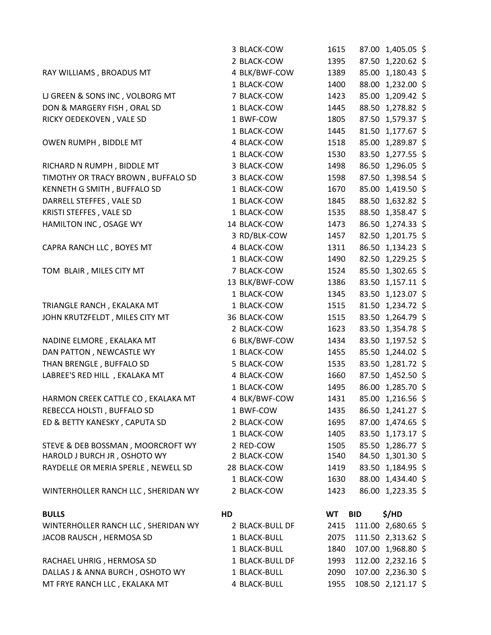|                                     | 3 BLACK-COW     | 1615      |            | 87.00 1,405.05 \$  |  |
|-------------------------------------|-----------------|-----------|------------|--------------------|--|
|                                     | 2 BLACK-COW     | 1395      |            | 87.50 1,220.62 \$  |  |
| RAY WILLIAMS, BROADUS MT            | 4 BLK/BWF-COW   | 1389      |            | 85.00 1,180.43 \$  |  |
|                                     | 1 BLACK-COW     | 1400      |            | 88.00 1,232.00 \$  |  |
| LJ GREEN & SONS INC, VOLBORG MT     | 7 BLACK-COW     | 1423      |            | 85.00 1,209.42 \$  |  |
| DON & MARGERY FISH, ORAL SD         | 1 BLACK-COW     | 1445      |            | 88.50 1,278.82 \$  |  |
| RICKY OEDEKOVEN, VALE SD            | 1 BWF-COW       | 1805      |            | 87.50 1,579.37 \$  |  |
|                                     | 1 BLACK-COW     | 1445      |            | 81.50 1,177.67 \$  |  |
| OWEN RUMPH, BIDDLE MT               | 4 BLACK-COW     | 1518      |            | 85.00 1,289.87 \$  |  |
|                                     | 1 BLACK-COW     | 1530      |            | 83.50 1,277.55 \$  |  |
| RICHARD N RUMPH, BIDDLE MT          | 3 BLACK-COW     | 1498      |            | 86.50 1,296.05 \$  |  |
| TIMOTHY OR TRACY BROWN, BUFFALO SD  | 3 BLACK-COW     | 1598      |            | 87.50 1,398.54 \$  |  |
| KENNETH G SMITH, BUFFALO SD         | 1 BLACK-COW     | 1670      |            | 85.00 1,419.50 \$  |  |
| DARRELL STEFFES, VALE SD            | 1 BLACK-COW     | 1845      |            | 88.50 1,632.82 \$  |  |
| KRISTI STEFFES, VALE SD             | 1 BLACK-COW     | 1535      |            | 88.50 1,358.47 \$  |  |
| HAMILTON INC, OSAGE WY              | 14 BLACK-COW    | 1473      |            | 86.50 1,274.33 \$  |  |
|                                     | 3 RD/BLK-COW    | 1457      |            | 82.50 1,201.75 \$  |  |
| CAPRA RANCH LLC, BOYES MT           | 4 BLACK-COW     | 1311      |            | 86.50 1,134.23 \$  |  |
|                                     | 1 BLACK-COW     | 1490      |            | 82.50 1,229.25 \$  |  |
| TOM BLAIR, MILES CITY MT            | 7 BLACK-COW     | 1524      |            | 85.50 1,302.65 \$  |  |
|                                     | 13 BLK/BWF-COW  | 1386      |            | 83.50 1,157.11 \$  |  |
|                                     | 1 BLACK-COW     | 1345      |            | 83.50 1,123.07 \$  |  |
| TRIANGLE RANCH, EKALAKA MT          | 1 BLACK-COW     | 1515      |            | 81.50 1,234.72 \$  |  |
| JOHN KRUTZFELDT, MILES CITY MT      | 36 BLACK-COW    | 1515      |            | 83.50 1,264.79 \$  |  |
|                                     | 2 BLACK-COW     | 1623      |            | 83.50 1,354.78 \$  |  |
| NADINE ELMORE, EKALAKA MT           | 6 BLK/BWF-COW   | 1434      |            | 83.50 1,197.52 \$  |  |
| DAN PATTON, NEWCASTLE WY            | 1 BLACK-COW     | 1455      |            | 85.50 1,244.02 \$  |  |
| THAN BRENGLE, BUFFALO SD            | 5 BLACK-COW     | 1535      |            | 83.50 1,281.72 \$  |  |
| LABREE'S RED HILL , EKALAKA MT      | 4 BLACK-COW     | 1660      |            | 87.50 1,452.50 \$  |  |
|                                     | 1 BLACK-COW     | 1495      |            | 86.00 1,285.70 \$  |  |
| HARMON CREEK CATTLE CO, EKALAKA MT  | 4 BLK/BWF-COW   | 1431      |            | 85.00 1,216.56 \$  |  |
| REBECCA HOLSTI, BUFFALO SD          | 1 BWF-COW       | 1435      |            | 86.50 1,241.27 \$  |  |
| ED & BETTY KANESKY, CAPUTA SD       | 2 BLACK-COW     | 1695      |            | 87.00 1,474.65 \$  |  |
|                                     | 1 BLACK-COW     | 1405      |            | 83.50 1,173.17 \$  |  |
| STEVE & DEB BOSSMAN, MOORCROFT WY   | 2 RED-COW       | 1505      |            | 85.50 1,286.77 \$  |  |
| HAROLD J BURCH JR, OSHOTO WY        | 2 BLACK-COW     | 1540      |            | 84.50 1,301.30 \$  |  |
| RAYDELLE OR MERIA SPERLE, NEWELL SD | 28 BLACK-COW    | 1419      |            | 83.50 1,184.95 \$  |  |
|                                     | 1 BLACK-COW     | 1630      |            | 88.00 1,434.40 \$  |  |
| WINTERHOLLER RANCH LLC, SHERIDAN WY | 2 BLACK-COW     | 1423      |            | 86.00 1,223.35 \$  |  |
| <b>BULLS</b>                        | HD              | <b>WT</b> | <b>BID</b> | \$/HD              |  |
| WINTERHOLLER RANCH LLC, SHERIDAN WY | 2 BLACK-BULL DF | 2415      |            | 111.00 2,680.65 \$ |  |
| JACOB RAUSCH, HERMOSA SD            | 1 BLACK-BULL    | 2075      |            | 111.50 2,313.62 \$ |  |
|                                     | 1 BLACK-BULL    | 1840      |            | 107.00 1,968.80 \$ |  |
| RACHAEL UHRIG, HERMOSA SD           | 1 BLACK-BULL DF | 1993      |            | 112.00 2,232.16 \$ |  |
| DALLAS J & ANNA BURCH, OSHOTO WY    | 1 BLACK-BULL    | 2090      |            | 107.00 2,236.30 \$ |  |
| MT FRYE RANCH LLC, EKALAKA MT       | 4 BLACK-BULL    | 1955      |            | 108.50 2,121.17 \$ |  |
|                                     |                 |           |            |                    |  |